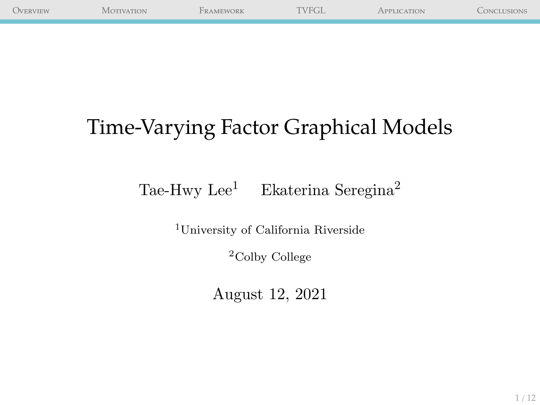| <b>OVERVIEW</b> | $^{\circ A}$ OTIVATION | FRAMEWORK | TVFGL. | PPLICATION | CONCLUSIONS |
|-----------------|------------------------|-----------|--------|------------|-------------|
|                 |                        |           |        |            |             |

## Time-Varying Factor Graphical Models

## Tae-Hwy Lee<sup>1</sup> Ekaterina Seregina<sup>2</sup>

<sup>1</sup>University of California Riverside

<sup>2</sup>Colby College

August 12, 2021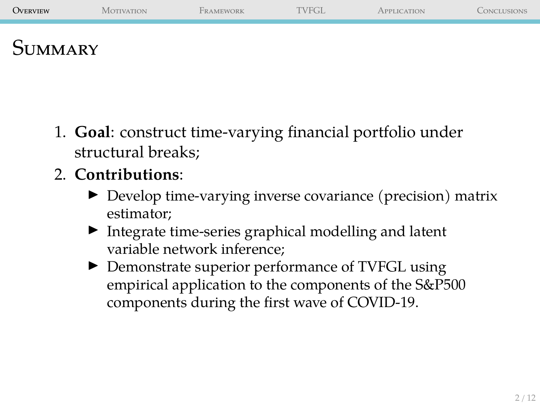<span id="page-1-0"></span>

| <b>OVERVIEW</b> | MOTIVATION | <b>FRAMEWORK</b> | TVFGL | <b>APPLICATION</b> | CONCLUSIONS |
|-----------------|------------|------------------|-------|--------------------|-------------|
| <b>SUMMARY</b>  |            |                  |       |                    |             |

- 1. **Goal**: construct time-varying financial portfolio under structural breaks;
- 2. **Contributions**:
	- ▶ Develop time-varying inverse covariance (precision) matrix estimator;
	- ▶ Integrate time-series graphical modelling and latent variable network inference;
	- ▶ Demonstrate superior performance of TVFGL using empirical application to the components of the S&P500 components during the first wave of COVID-19.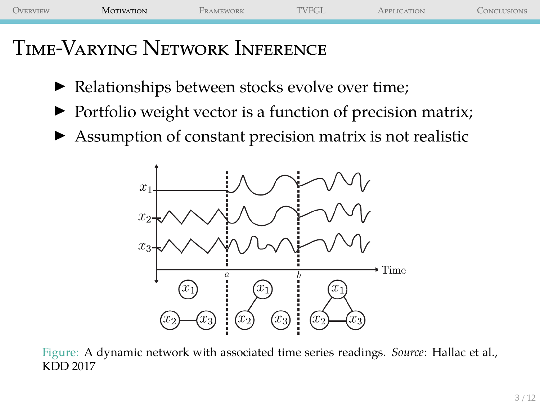<span id="page-2-0"></span>

| <b>OVERVIEW</b> | <b>MOTIVATION</b> | <b>Terminal</b><br><b>FRAMEWORK</b> | "VFGL. | <b>TION</b> | ONCLUSIONS |
|-----------------|-------------------|-------------------------------------|--------|-------------|------------|
|                 |                   |                                     |        |             |            |
|                 |                   |                                     |        |             |            |

## Time-Varying Network Inference

- ▶ Relationships between stocks evolve over time;
- ▶ Portfolio weight vector is a function of precision matrix;
- ▶ Assumption of constant precision matrix is not realistic



Figure: A dynamic network with associated time series readings. *Source*: Hallac et al., KDD 2017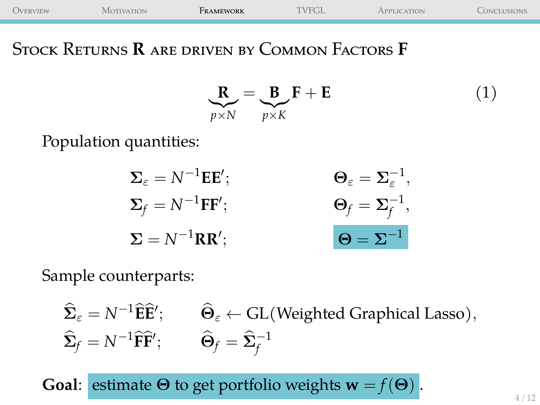<span id="page-3-0"></span>

| <b>OVERVIEW</b> | Motivation | FRAMEWORK | <b>TVFGL.</b> | APPLICATION | <b>CONCLUSIONS</b> |
|-----------------|------------|-----------|---------------|-------------|--------------------|
|                 |            |           |               |             |                    |

Stock Returns **R** are driven by Common Factors **F**

$$
\mathbf{R}_{p \times N} = \mathbf{B}_{p \times K} \mathbf{F} + \mathbf{E}
$$
 (1)

Population quantities:

$$
\Sigma_{\varepsilon} = N^{-1} \mathbf{E} \mathbf{E}'; \qquad \qquad \Theta_{\varepsilon} = \Sigma_{\varepsilon}^{-1},
$$
  

$$
\Sigma_{f} = N^{-1} \mathbf{F} \mathbf{F}'; \qquad \qquad \Theta_{f} = \Sigma_{f}^{-1},
$$
  

$$
\Sigma = N^{-1} \mathbf{R} \mathbf{R}'; \qquad \qquad \Theta = \Sigma^{-1}
$$

Sample counterparts:

$$
\widehat{\Sigma}_{\varepsilon} = N^{-1} \widehat{\mathbf{E}} \widehat{\mathbf{E}}'; \qquad \widehat{\Theta}_{\varepsilon} \leftarrow GL(\text{Weighted Graphical Lasso}),
$$
  

$$
\widehat{\Sigma}_{f} = N^{-1} \widehat{\mathbf{F}} \widehat{\mathbf{F}}'; \qquad \widehat{\Theta}_{f} = \widehat{\Sigma}_{f}^{-1}
$$

**Goal:** estimate  $\Theta$  to get portfolio weights  $\mathbf{w} = f(\Theta)$ .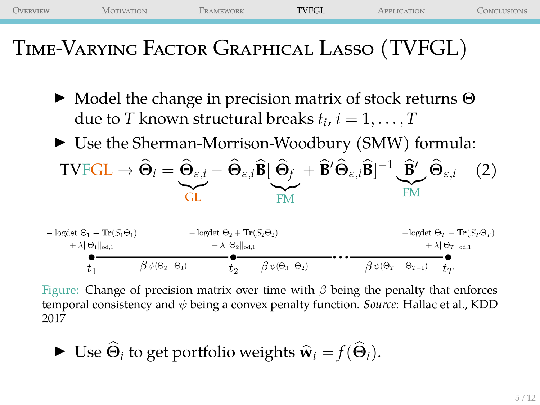<span id="page-4-0"></span>

| OVERVIEW | <b>MOTIVATION</b>                                                                              | FRAMEWORK                                                                           | <b>TVFGL</b> | APPLICATION                                                                                                                                                                                                                                                                                                                                                | CONCLUSIONS |
|----------|------------------------------------------------------------------------------------------------|-------------------------------------------------------------------------------------|--------------|------------------------------------------------------------------------------------------------------------------------------------------------------------------------------------------------------------------------------------------------------------------------------------------------------------------------------------------------------------|-------------|
|          | TIME-VARYING FACTOR GRAPHICAL LASSO (TVFGL)                                                    |                                                                                     |              |                                                                                                                                                                                                                                                                                                                                                            |             |
|          |                                                                                                | due to T known structural breaks $t_i$ , $i = 1, \ldots, T$                         |              | $\triangleright$ Model the change in precision matrix of stock returns $\Theta$                                                                                                                                                                                                                                                                            |             |
|          |                                                                                                |                                                                                     |              | $\triangleright$ Use the Sherman-Morrison-Woodbury (SMW) formula:                                                                                                                                                                                                                                                                                          |             |
|          |                                                                                                |                                                                                     |              | TVFGL $\rightarrow \widehat{\Theta}_i = \widehat{\Theta}_{\varepsilon,i} - \widehat{\Theta}_{\varepsilon,i} \widehat{\mathbf{B}} \big[ \widehat{\Theta}_{f} + \widehat{\mathbf{B}}' \widehat{\Theta}_{\varepsilon,i} \widehat{\mathbf{B}} \big]^{-1} \underbrace{\widehat{\mathbf{B}}'}_{\varepsilon,i} \widehat{\Theta}_{\varepsilon,i}$ (2)<br><b>FM</b> |             |
|          | $-\text{logdet }\Theta_1+\text{Tr}(S_1\Theta_1)$<br>$+\lambda \ \Theta_1\ _{\alpha\beta\beta}$ | $-\log \det \Theta_2 + \text{Tr}(S_2 \Theta_2)$<br>$+\lambda \ \Theta_2\ _{\infty}$ |              | $-\text{logdet} \Theta_T + \text{Tr}(S_T \Theta_T)$<br>$+\lambda \ \Theta_T\ _{\text{odd}}$                                                                                                                                                                                                                                                                |             |

시 | マ1 || od, 1 ⊤ △||▽2||od,1 내보가 jod,L  $\beta \psi(\Theta_T - \Theta_{T-1})$   $t_T$  $\beta \psi(\Theta_2 - \Theta_1)$  $\beta\,\psi(\Theta_3-\Theta_2)$  $t_2$  $t_1$ 

Figure: Change of precision matrix over time with  $\beta$  being the penalty that enforces temporal consistency and ψ being a convex penalty function. *Source*: Hallac et al., KDD 2017

► Use 
$$
\hat{\Theta}_i
$$
 to get portfolio weights  $\hat{\mathbf{w}}_i = f(\hat{\Theta}_i)$ .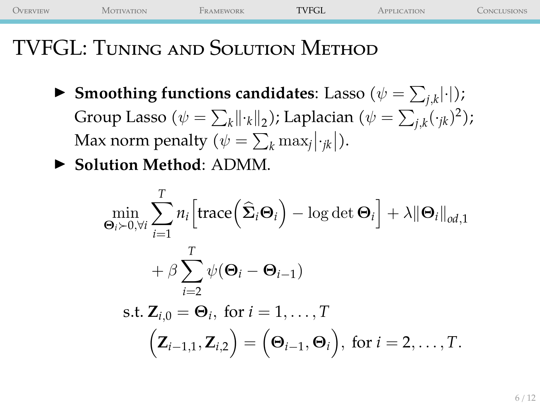[Overview](#page-1-0) [Motivation](#page-2-0) [Framework](#page-3-0) [TVFGL](#page-4-0) [Application](#page-7-0) [Conclusions](#page-10-0)

## TVFGL: Tuning and Solution Method

- $\blacktriangleright$  Smoothing functions candidates: Lasso  $(\psi = \sum_{j,k} |\cdot|);$ Group Lasso ( $\psi = \sum_{k} || \cdot_{k} ||_{2}$ ); Laplacian ( $\psi = \sum_{j,k} (\cdot_{jk})^{2}$ ); Max norm penalty ( $\psi = \sum_{k} \max_{j} |\cdot_{jk}|$ ).
- ▶ **Solution Method**: ADMM.

$$
\min_{\mathbf{\Theta}_{i}\succ0,\forall i}\sum_{i=1}^{T}n_{i}\Big[\text{trace}\Big(\widehat{\mathbf{\Sigma}}_{i}\mathbf{\Theta}_{i}\Big)-\log\det\mathbf{\Theta}_{i}\Big] + \lambda \|\mathbf{\Theta}_{i}\|_{od,1} \n+ \beta \sum_{i=2}^{T} \psi(\mathbf{\Theta}_{i}-\mathbf{\Theta}_{i-1}) \n\text{s.t. } \mathbf{Z}_{i,0} = \mathbf{\Theta}_{i}, \text{ for } i = 1,\ldots,T \n\Big(\mathbf{Z}_{i-1,1}, \mathbf{Z}_{i,2}\Big) = \Big(\mathbf{\Theta}_{i-1}, \mathbf{\Theta}_{i}\Big), \text{ for } i = 2,\ldots,T.
$$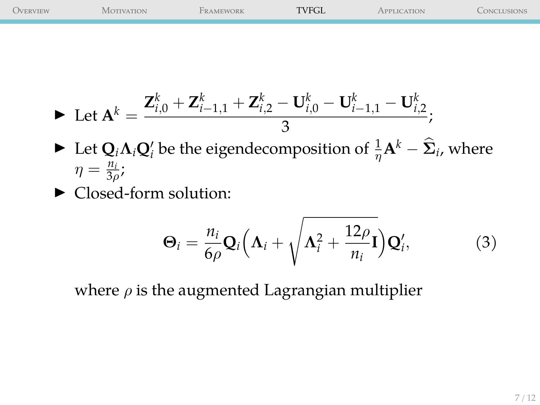| OVERVIEW | <b>MOTIVATION</b> | FRAMEWORK | <b>TVFGL</b> | APPLICATION | Conclusions |
|----------|-------------------|-----------|--------------|-------------|-------------|
|          |                   |           |              |             |             |
|          |                   |           |              |             |             |
|          |                   |           |              |             |             |
|          |                   |           |              |             |             |
|          |                   |           |              |             |             |
|          |                   |           |              |             |             |

$$
\blacktriangleright \ \text{Let } \mathbf{A}^k = \frac{\mathbf{Z}_{i,0}^k + \mathbf{Z}_{i-1,1}^k + \mathbf{Z}_{i,2}^k - \mathbf{U}_{i,0}^k - \mathbf{U}_{i-1,1}^k - \mathbf{U}_{i,2}^k}{3};
$$

- ▶ Let  $Q_i \Lambda_i Q'_i$  be the eigendecomposition of  $\frac{1}{\eta} \mathbf{A}^k \widehat{\mathbf{\Sigma}}_i$ , where  $\eta = \frac{n_i}{3\rho}$ ;
- ▶ Closed-form solution:

$$
\Theta_i = \frac{n_i}{6\rho} \mathbf{Q}_i \Big( \mathbf{\Lambda}_i + \sqrt{\mathbf{\Lambda}_i^2 + \frac{12\rho}{n_i}} \mathbf{I} \Big) \mathbf{Q}'_i, \tag{3}
$$

where  $\rho$  is the augmented Lagrangian multiplier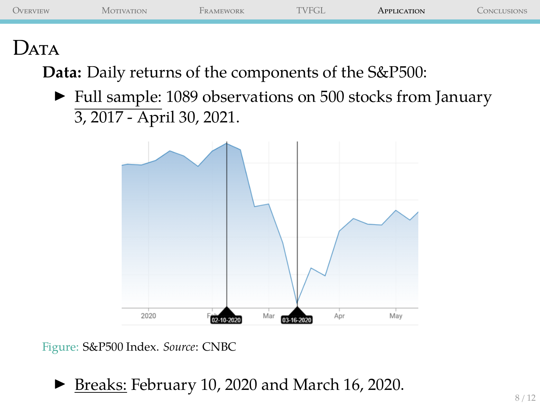<span id="page-7-0"></span>

|                                                                                                                                                                       | CONCLUSIONS |
|-----------------------------------------------------------------------------------------------------------------------------------------------------------------------|-------------|
| JATA<br>$\ell$ at $\Omega$ $\Omega$ $\Gamma$ $\Gamma$<br>$\mathbf{r}$ $\mathbf{r}$<br>$\blacksquare$<br>$\sim$ $\sim$ 1<br><b>Contract Contract Contract Contract</b> |             |

**Data:** Daily returns of the components of the S&P500:

▶ Full sample: 1089 observations on 500 stocks from January 3, 2017 - April 30, 2021.



Figure: S&P500 Index. *Source*: CNBC

▶ Breaks: February 10, 2020 and March 16, 2020.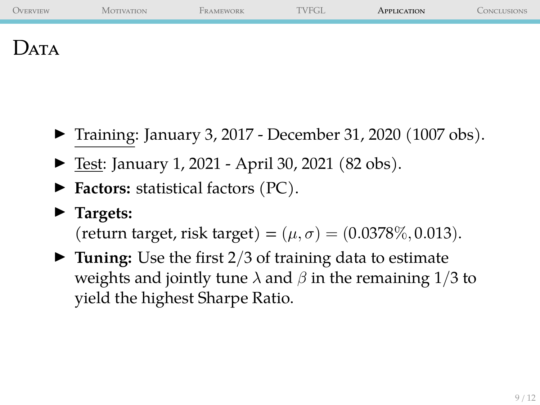| <b>OVERVIEW</b> | <b>MOTIVATION</b> | FRAMEWORK | <b>TVFGL</b> | APPLICATION | CONCLUSIONS |
|-----------------|-------------------|-----------|--------------|-------------|-------------|
| JATA            |                   |           |              |             |             |

- ▶ Training: January 3, 2017 December 31, 2020 (1007 obs).
- ▶ Test: January 1, 2021 April 30, 2021 (82 obs).
- ▶ **Factors:** statistical factors (PC).
- ▶ **Targets:**

(return target, risk target) =  $(\mu, \sigma)$  = (0.0378\%, 0.013).

▶ **Tuning:** Use the first 2/3 of training data to estimate weights and jointly tune  $\lambda$  and  $\beta$  in the remaining 1/3 to yield the highest Sharpe Ratio.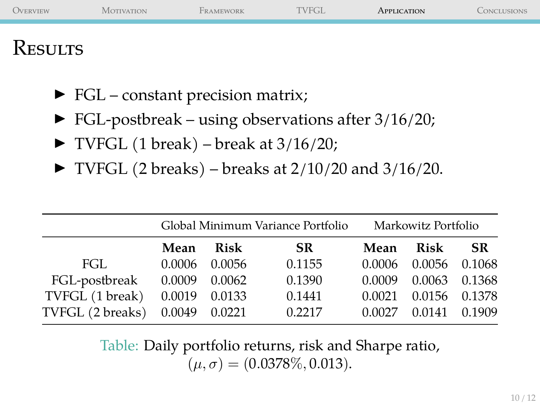| <b>OVERVIEW</b> | <b>MOTIVATION</b> | FRAMEWORK | TVFGL. | APPLICATION | CONCLUSIONS |
|-----------------|-------------------|-----------|--------|-------------|-------------|
| <b>KESULTS</b>  |                   |           |        |             |             |

- ▶ FGL constant precision matrix;
- $\blacktriangleright$  FGL-postbreak using observations after 3/16/20;
- $\triangleright$  TVFGL (1 break) break at 3/16/20;
- $\blacktriangleright$  TVFGL (2 breaks) breaks at 2/10/20 and 3/16/20.

|                  |                   |               | Global Minimum Variance Portfolio | Markowitz Portfolio |        |        |
|------------------|-------------------|---------------|-----------------------------------|---------------------|--------|--------|
|                  | Mean              | Risk          | SR.                               | Mean                | Risk   | SR.    |
| FGL.             | 0.0006            | 0.0056        | 0.1155                            | 0.0006              | 0.0056 | 0.1068 |
| FGL-postbreak    | 0.0009            | 0.0062        | 0.1390                            | 0.0009              | 0.0063 | 0.1368 |
| TVFGL (1 break)  |                   | 0.0019 0.0133 | 0.1441                            | 0.0021              | 0.0156 | 0.1378 |
| TVFGL (2 breaks) | $0.0049$ $0.0221$ |               | 0.2217                            | 0.0027              | 0.0141 | 0.1909 |

Table: Daily portfolio returns, risk and Sharpe ratio,  $(\mu, \sigma) = (0.0378\%, 0.013).$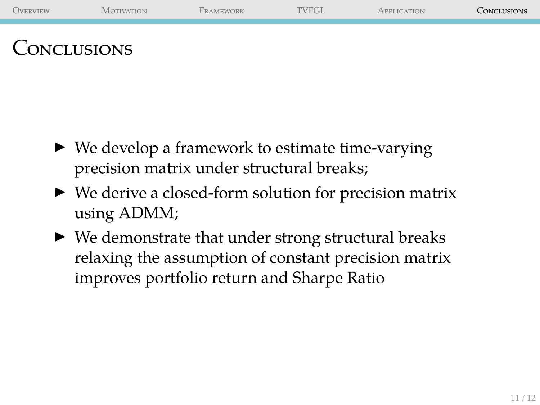<span id="page-10-0"></span>

- $\triangleright$  We develop a framework to estimate time-varying precision matrix under structural breaks;
- ▶ We derive a closed-form solution for precision matrix using ADMM;
- $\blacktriangleright$  We demonstrate that under strong structural breaks relaxing the assumption of constant precision matrix improves portfolio return and Sharpe Ratio